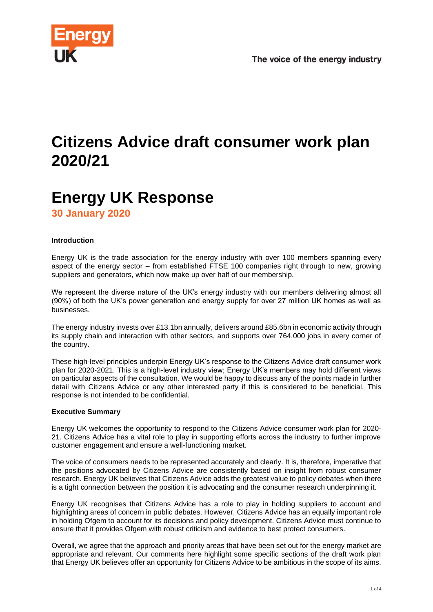

# **Citizens Advice draft consumer work plan 2020/21**

# **Energy UK Response**

**30 January 2020**

# **Introduction**

Energy UK is the trade association for the energy industry with over 100 members spanning every aspect of the energy sector – from established FTSE 100 companies right through to new, growing suppliers and generators, which now make up over half of our membership.

We represent the diverse nature of the UK's energy industry with our members delivering almost all (90%) of both the UK's power generation and energy supply for over 27 million UK homes as well as businesses.

The energy industry invests over £13.1bn annually, delivers around £85.6bn in economic activity through its supply chain and interaction with other sectors, and supports over 764,000 jobs in every corner of the country.

These high-level principles underpin Energy UK's response to the Citizens Advice draft consumer work plan for 2020-2021. This is a high-level industry view; Energy UK's members may hold different views on particular aspects of the consultation. We would be happy to discuss any of the points made in further detail with Citizens Advice or any other interested party if this is considered to be beneficial. This response is not intended to be confidential.

## **Executive Summary**

Energy UK welcomes the opportunity to respond to the Citizens Advice consumer work plan for 2020- 21. Citizens Advice has a vital role to play in supporting efforts across the industry to further improve customer engagement and ensure a well-functioning market.

The voice of consumers needs to be represented accurately and clearly. It is, therefore, imperative that the positions advocated by Citizens Advice are consistently based on insight from robust consumer research. Energy UK believes that Citizens Advice adds the greatest value to policy debates when there is a tight connection between the position it is advocating and the consumer research underpinning it.

Energy UK recognises that Citizens Advice has a role to play in holding suppliers to account and highlighting areas of concern in public debates. However, Citizens Advice has an equally important role in holding Ofgem to account for its decisions and policy development. Citizens Advice must continue to ensure that it provides Ofgem with robust criticism and evidence to best protect consumers.

Overall, we agree that the approach and priority areas that have been set out for the energy market are appropriate and relevant. Our comments here highlight some specific sections of the draft work plan that Energy UK believes offer an opportunity for Citizens Advice to be ambitious in the scope of its aims.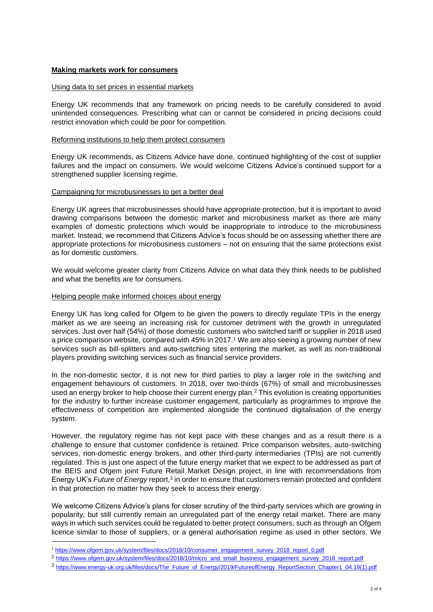#### **Making markets work for consumers**

#### Using data to set prices in essential markets

Energy UK recommends that any framework on pricing needs to be carefully considered to avoid unintended consequences. Prescribing what can or cannot be considered in pricing decisions could restrict innovation which could be poor for competition.

#### Reforming institutions to help them protect consumers

Energy UK recommends, as Citizens Advice have done, continued highlighting of the cost of supplier failures and the impact on consumers. We would welcome Citizens Advice's continued support for a strengthened supplier licensing regime.

#### Campaigning for microbusinesses to get a better deal

Energy UK agrees that microbusinesses should have appropriate protection, but it is important to avoid drawing comparisons between the domestic market and microbusiness market as there are many examples of domestic protections which would be inappropriate to introduce to the microbusiness market. Instead, we recommend that Citizens Advice's focus should be on assessing whether there are appropriate protections for microbusiness customers – not on ensuring that the same protections exist as for domestic customers.

We would welcome greater clarity from Citizens Advice on what data they think needs to be published and what the benefits are for consumers.

#### Helping people make informed choices about energy

Energy UK has long called for Ofgem to be given the powers to directly regulate TPIs in the energy market as we are seeing an increasing risk for customer detriment with the growth in unregulated services. Just over half (54%) of those domestic customers who switched tariff or supplier in 2018 used a price comparison website, compared with 45% in 2017.<sup>1</sup> We are also seeing a growing number of new services such as bill-splitters and auto-switching sites entering the market, as well as non-traditional players providing switching services such as financial service providers.

In the non-domestic sector, it is not new for third parties to play a larger role in the switching and engagement behaviours of customers. In 2018, over two-thirds (67%) of small and microbusinesses used an energy broker to help choose their current energy plan.<sup>2</sup> This evolution is creating opportunities for the industry to further increase customer engagement, particularly as programmes to improve the effectiveness of competition are implemented alongside the continued digitalisation of the energy system.

However, the regulatory regime has not kept pace with these changes and as a result there is a challenge to ensure that customer confidence is retained. Price comparison websites, auto-switching services, non-domestic energy brokers, and other third-party intermediaries (TPIs) are not currently regulated. This is just one aspect of the future energy market that we expect to be addressed as part of the BEIS and Ofgem joint Future Retail Market Design project, in line with recommendations from Energy UK's *Future of Energy* report,<sup>3</sup> in order to ensure that customers remain protected and confident in that protection no matter how they seek to access their energy.

We welcome Citizens Advice's plans for closer scrutiny of the third-party services which are growing in popularity, but still currently remain an unregulated part of the energy retail market. There are many ways in which such services could be regulated to better protect consumers, such as through an Ofgem licence similar to those of suppliers, or a general authorisation regime as used in other sectors. We

<sup>1</sup> [https://www.ofgem.gov.uk/system/files/docs/2018/10/consumer\\_engagement\\_survey\\_2018\\_report\\_0.pdf](https://www.ofgem.gov.uk/system/files/docs/2018/10/consumer_engagement_survey_2018_report_0.pdf)

<sup>&</sup>lt;sup>2</sup> [https://www.ofgem.gov.uk/system/files/docs/2018/10/micro\\_and\\_small\\_business\\_engagement\\_survey\\_2018\\_report.pdf](https://www.ofgem.gov.uk/system/files/docs/2018/10/micro_and_small_business_engagement_survey_2018_report.pdf)

<sup>3</sup> [https://www.energy-uk.org.uk/files/docs/The\\_Future\\_of\\_Energy/2019/FutureofEnergy\\_ReportSection\\_Chapter1\\_04.19\(1\).pdf](https://www.energy-uk.org.uk/files/docs/The_Future_of_Energy/2019/FutureofEnergy_ReportSection_Chapter1_04.19(1).pdf)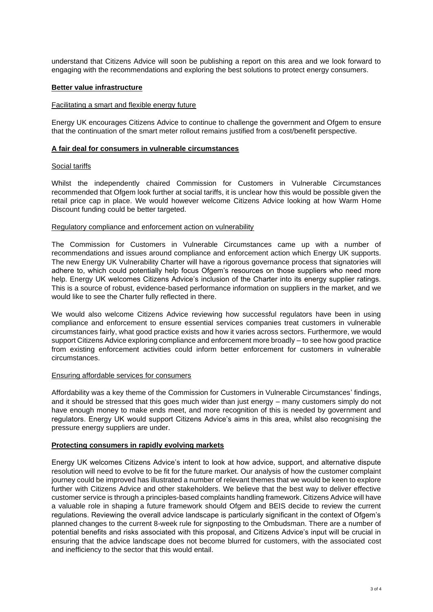understand that Citizens Advice will soon be publishing a report on this area and we look forward to engaging with the recommendations and exploring the best solutions to protect energy consumers.

#### **Better value infrastructure**

#### Facilitating a smart and flexible energy future

Energy UK encourages Citizens Advice to continue to challenge the government and Ofgem to ensure that the continuation of the smart meter rollout remains justified from a cost/benefit perspective.

#### **A fair deal for consumers in vulnerable circumstances**

#### Social tariffs

Whilst the independently chaired Commission for Customers in Vulnerable Circumstances recommended that Ofgem look further at social tariffs, it is unclear how this would be possible given the retail price cap in place. We would however welcome Citizens Advice looking at how Warm Home Discount funding could be better targeted.

#### Regulatory compliance and enforcement action on vulnerability

The Commission for Customers in Vulnerable Circumstances came up with a number of recommendations and issues around compliance and enforcement action which Energy UK supports. The new Energy UK Vulnerability Charter will have a rigorous governance process that signatories will adhere to, which could potentially help focus Ofgem's resources on those suppliers who need more help. Energy UK welcomes Citizens Advice's inclusion of the Charter into its energy supplier ratings. This is a source of robust, evidence-based performance information on suppliers in the market, and we would like to see the Charter fully reflected in there.

We would also welcome Citizens Advice reviewing how successful regulators have been in using compliance and enforcement to ensure essential services companies treat customers in vulnerable circumstances fairly, what good practice exists and how it varies across sectors. Furthermore, we would support Citizens Advice exploring compliance and enforcement more broadly – to see how good practice from existing enforcement activities could inform better enforcement for customers in vulnerable circumstances.

#### Ensuring affordable services for consumers

Affordability was a key theme of the Commission for Customers in Vulnerable Circumstances' findings, and it should be stressed that this goes much wider than just energy – many customers simply do not have enough money to make ends meet, and more recognition of this is needed by government and regulators. Energy UK would support Citizens Advice's aims in this area, whilst also recognising the pressure energy suppliers are under.

## **Protecting consumers in rapidly evolving markets**

Energy UK welcomes Citizens Advice's intent to look at how advice, support, and alternative dispute resolution will need to evolve to be fit for the future market. Our analysis of how the customer complaint journey could be improved has illustrated a number of relevant themes that we would be keen to explore further with Citizens Advice and other stakeholders. We believe that the best way to deliver effective customer service is through a principles-based complaints handling framework. Citizens Advice will have a valuable role in shaping a future framework should Ofgem and BEIS decide to review the current regulations. Reviewing the overall advice landscape is particularly significant in the context of Ofgem's planned changes to the current 8-week rule for signposting to the Ombudsman. There are a number of potential benefits and risks associated with this proposal, and Citizens Advice's input will be crucial in ensuring that the advice landscape does not become blurred for customers, with the associated cost and inefficiency to the sector that this would entail.